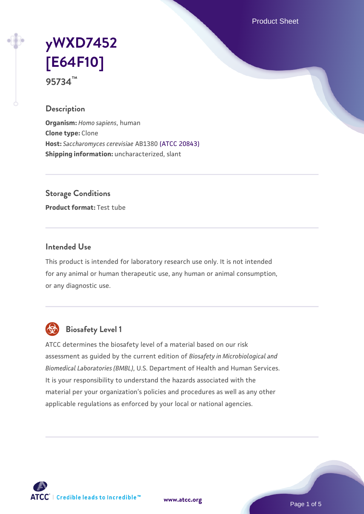Product Sheet

# **[yWXD7452](https://www.atcc.org/products/95734) [\[E64F10\]](https://www.atcc.org/products/95734) 95734™**

#### **Description**

**Organism:** *Homo sapiens*, human **Clone type:** Clone **Host:** *Saccharomyces cerevisiae* AB1380 [\(ATCC 20843\)](https://www.atcc.org/products/20843) **Shipping information:** uncharacterized, slant

**Storage Conditions**

**Product format:** Test tube

#### **Intended Use**

This product is intended for laboratory research use only. It is not intended for any animal or human therapeutic use, any human or animal consumption, or any diagnostic use.



## **Biosafety Level 1**

ATCC determines the biosafety level of a material based on our risk assessment as guided by the current edition of *Biosafety in Microbiological and Biomedical Laboratories (BMBL)*, U.S. Department of Health and Human Services. It is your responsibility to understand the hazards associated with the material per your organization's policies and procedures as well as any other applicable regulations as enforced by your local or national agencies.



**[www.atcc.org](http://www.atcc.org)**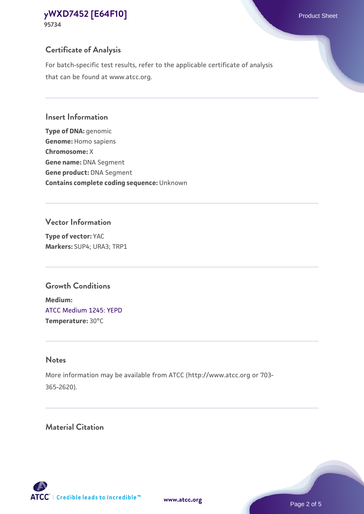**95734**

## **Certificate of Analysis**

For batch-specific test results, refer to the applicable certificate of analysis that can be found at www.atcc.org.

## **Insert Information**

**Type of DNA:** genomic **Genome:** Homo sapiens **Chromosome:** X **Gene name:** DNA Segment **Gene product:** DNA Segment **Contains complete coding sequence:** Unknown

## **Vector Information**

**Type of vector:** YAC **Markers:** SUP4; URA3; TRP1

## **Growth Conditions**

**Medium:**  [ATCC Medium 1245: YEPD](https://www.atcc.org/-/media/product-assets/documents/microbial-media-formulations/1/2/4/5/atcc-medium-1245.pdf?rev=705ca55d1b6f490a808a965d5c072196) **Temperature:** 30°C

## **Notes**

More information may be available from ATCC (http://www.atcc.org or 703- 365-2620).

## **Material Citation**

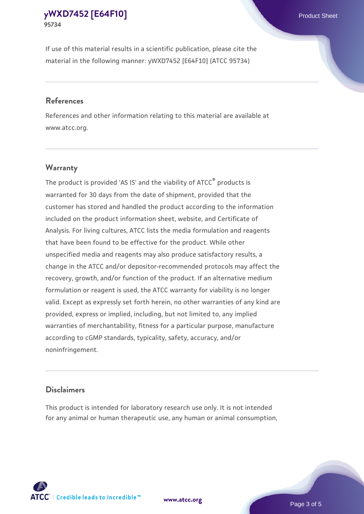If use of this material results in a scientific publication, please cite the material in the following manner: yWXD7452 [E64F10] (ATCC 95734)

#### **References**

References and other information relating to this material are available at www.atcc.org.

#### **Warranty**

The product is provided 'AS IS' and the viability of  $ATCC<sup>®</sup>$  products is warranted for 30 days from the date of shipment, provided that the customer has stored and handled the product according to the information included on the product information sheet, website, and Certificate of Analysis. For living cultures, ATCC lists the media formulation and reagents that have been found to be effective for the product. While other unspecified media and reagents may also produce satisfactory results, a change in the ATCC and/or depositor-recommended protocols may affect the recovery, growth, and/or function of the product. If an alternative medium formulation or reagent is used, the ATCC warranty for viability is no longer valid. Except as expressly set forth herein, no other warranties of any kind are provided, express or implied, including, but not limited to, any implied warranties of merchantability, fitness for a particular purpose, manufacture according to cGMP standards, typicality, safety, accuracy, and/or noninfringement.

#### **Disclaimers**

This product is intended for laboratory research use only. It is not intended for any animal or human therapeutic use, any human or animal consumption,





Page 3 of 5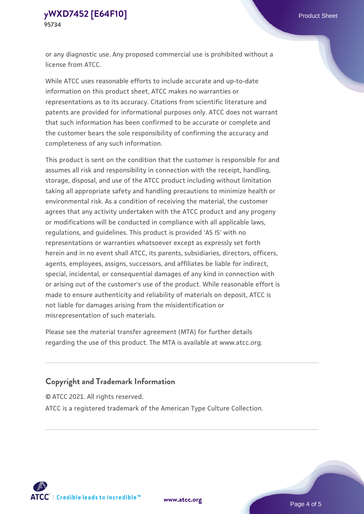or any diagnostic use. Any proposed commercial use is prohibited without a license from ATCC.

While ATCC uses reasonable efforts to include accurate and up-to-date information on this product sheet, ATCC makes no warranties or representations as to its accuracy. Citations from scientific literature and patents are provided for informational purposes only. ATCC does not warrant that such information has been confirmed to be accurate or complete and the customer bears the sole responsibility of confirming the accuracy and completeness of any such information.

This product is sent on the condition that the customer is responsible for and assumes all risk and responsibility in connection with the receipt, handling, storage, disposal, and use of the ATCC product including without limitation taking all appropriate safety and handling precautions to minimize health or environmental risk. As a condition of receiving the material, the customer agrees that any activity undertaken with the ATCC product and any progeny or modifications will be conducted in compliance with all applicable laws, regulations, and guidelines. This product is provided 'AS IS' with no representations or warranties whatsoever except as expressly set forth herein and in no event shall ATCC, its parents, subsidiaries, directors, officers, agents, employees, assigns, successors, and affiliates be liable for indirect, special, incidental, or consequential damages of any kind in connection with or arising out of the customer's use of the product. While reasonable effort is made to ensure authenticity and reliability of materials on deposit, ATCC is not liable for damages arising from the misidentification or misrepresentation of such materials.

Please see the material transfer agreement (MTA) for further details regarding the use of this product. The MTA is available at www.atcc.org.

## **Copyright and Trademark Information**

© ATCC 2021. All rights reserved.

ATCC is a registered trademark of the American Type Culture Collection.



**[www.atcc.org](http://www.atcc.org)**